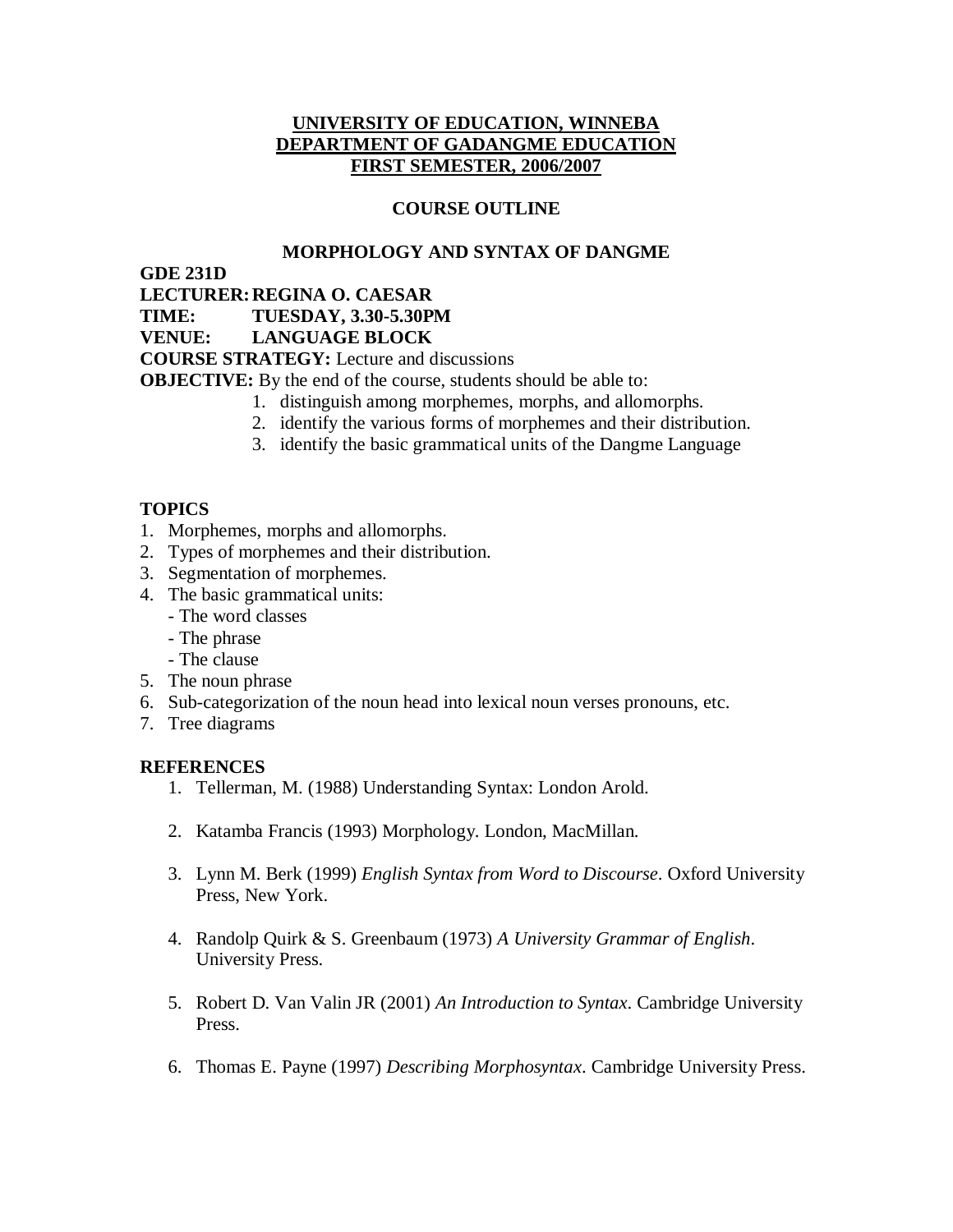## **UNIVERSITY OF EDUCATION, WINNEBA DEPARTMENT OF GADANGME EDUCATION FIRST SEMESTER, 2006/2007**

## **COURSE OUTLINE**

## **MORPHOLOGY AND SYNTAX OF DANGME**

**GDE 231D**

**LECTURER:REGINA O. CAESAR**

**TIME: TUESDAY, 3.30-5.30PM**

**VENUE: LANGUAGE BLOCK**

**COURSE STRATEGY:** Lecture and discussions

**OBJECTIVE:** By the end of the course, students should be able to:

- 1. distinguish among morphemes, morphs, and allomorphs.
- 2. identify the various forms of morphemes and their distribution.
- 3. identify the basic grammatical units of the Dangme Language

# **TOPICS**

- 1. Morphemes, morphs and allomorphs.
- 2. Types of morphemes and their distribution.
- 3. Segmentation of morphemes.
- 4. The basic grammatical units:
	- The word classes
	- The phrase
	- The clause
- 5. The noun phrase
- 6. Sub-categorization of the noun head into lexical noun verses pronouns, etc.
- 7. Tree diagrams

#### **REFERENCES**

- 1. Tellerman, M. (1988) Understanding Syntax: London Arold.
- 2. Katamba Francis (1993) Morphology. London, MacMillan.
- 3. Lynn M. Berk (1999) *English Syntax from Word to Discourse*. Oxford University Press, New York.
- 4. Randolp Quirk & S. Greenbaum (1973) *A University Grammar of English*. University Press.
- 5. Robert D. Van Valin JR (2001) *An Introduction to Syntax*. Cambridge University Press.
- 6. Thomas E. Payne (1997) *Describing Morphosyntax*. Cambridge University Press.